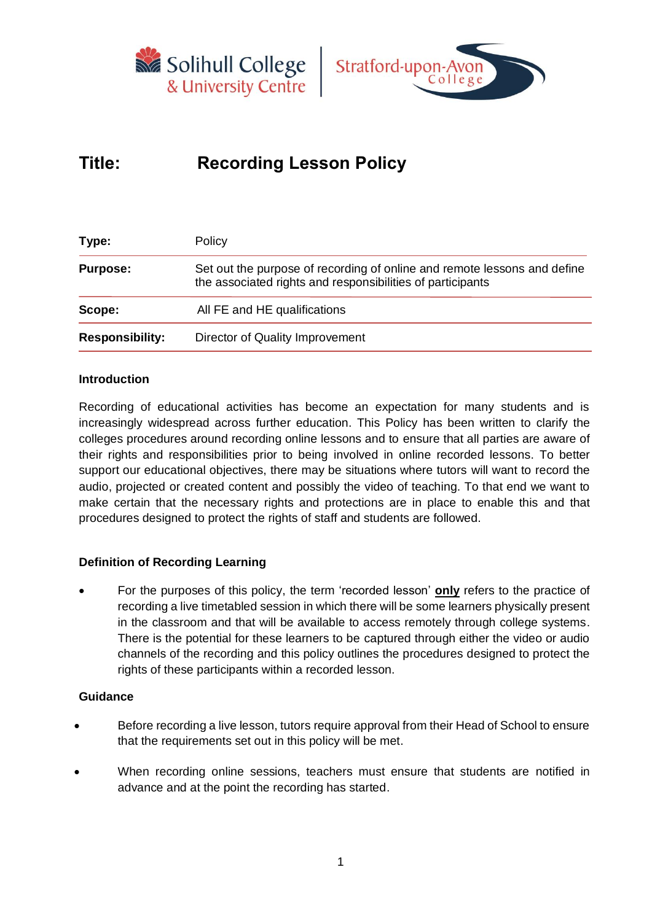



# **Title: Recording Lesson Policy**

| Type:                  | Policy                                                                                                                                 |  |  |  |
|------------------------|----------------------------------------------------------------------------------------------------------------------------------------|--|--|--|
| <b>Purpose:</b>        | Set out the purpose of recording of online and remote lessons and define<br>the associated rights and responsibilities of participants |  |  |  |
| Scope:                 | All FE and HE qualifications                                                                                                           |  |  |  |
| <b>Responsibility:</b> | Director of Quality Improvement                                                                                                        |  |  |  |
|                        |                                                                                                                                        |  |  |  |

### **Introduction**

Recording of educational activities has become an expectation for many students and is increasingly widespread across further education. This Policy has been written to clarify the colleges procedures around recording online lessons and to ensure that all parties are aware of their rights and responsibilities prior to being involved in online recorded lessons. To better support our educational objectives, there may be situations where tutors will want to record the audio, projected or created content and possibly the video of teaching. To that end we want to make certain that the necessary rights and protections are in place to enable this and that procedures designed to protect the rights of staff and students are followed.

## **Definition of Recording Learning**

• For the purposes of this policy, the term 'recorded lesson' **only** refers to the practice of recording a live timetabled session in which there will be some learners physically present in the classroom and that will be available to access remotely through college systems. There is the potential for these learners to be captured through either the video or audio channels of the recording and this policy outlines the procedures designed to protect the rights of these participants within a recorded lesson.

#### **Guidance**

- Before recording a live lesson, tutors require approval from their Head of School to ensure that the requirements set out in this policy will be met.
- When recording online sessions, teachers must ensure that students are notified in advance and at the point the recording has started.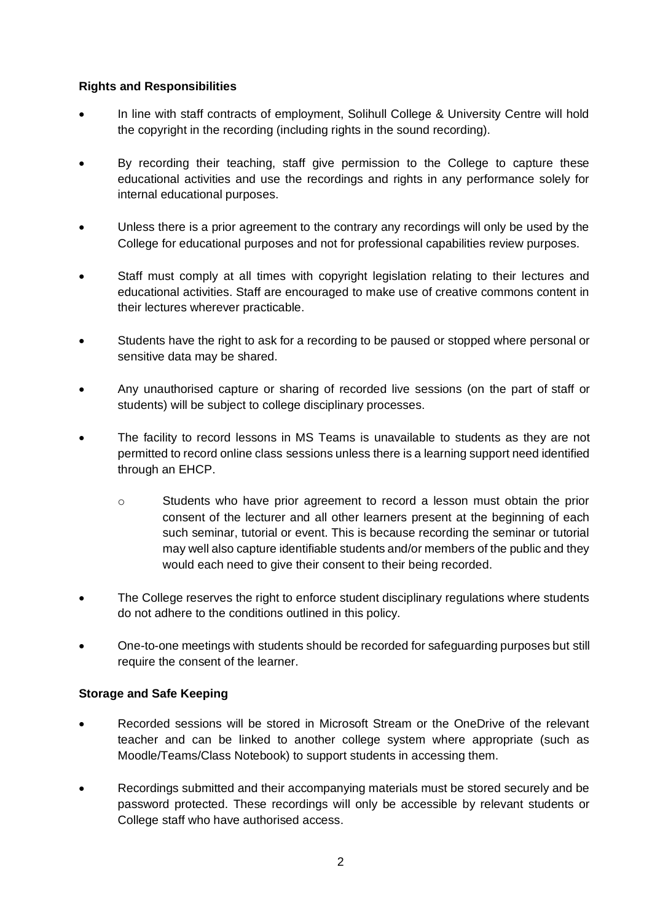## **Rights and Responsibilities**

- In line with staff contracts of employment, Solihull College & University Centre will hold the copyright in the recording (including rights in the sound recording).
- By recording their teaching, staff give permission to the College to capture these educational activities and use the recordings and rights in any performance solely for internal educational purposes.
- Unless there is a prior agreement to the contrary any recordings will only be used by the College for educational purposes and not for professional capabilities review purposes.
- Staff must comply at all times with copyright legislation relating to their lectures and educational activities. Staff are encouraged to make use of creative commons content in their lectures wherever practicable.
- Students have the right to ask for a recording to be paused or stopped where personal or sensitive data may be shared.
- Any unauthorised capture or sharing of recorded live sessions (on the part of staff or students) will be subject to college disciplinary processes.
- The facility to record lessons in MS Teams is unavailable to students as they are not permitted to record online class sessions unless there is a learning support need identified through an EHCP.
	- o Students who have prior agreement to record a lesson must obtain the prior consent of the lecturer and all other learners present at the beginning of each such seminar, tutorial or event. This is because recording the seminar or tutorial may well also capture identifiable students and/or members of the public and they would each need to give their consent to their being recorded.
- The College reserves the right to enforce student disciplinary regulations where students do not adhere to the conditions outlined in this policy.
- One-to-one meetings with students should be recorded for safeguarding purposes but still require the consent of the learner.

#### **Storage and Safe Keeping**

- Recorded sessions will be stored in Microsoft Stream or the OneDrive of the relevant teacher and can be linked to another college system where appropriate (such as Moodle/Teams/Class Notebook) to support students in accessing them.
- Recordings submitted and their accompanying materials must be stored securely and be password protected. These recordings will only be accessible by relevant students or College staff who have authorised access.